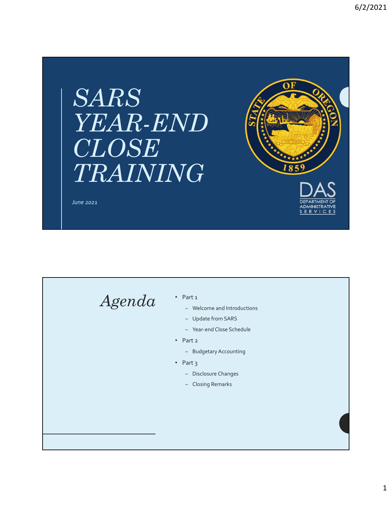## SARS YEAR-END CLOSE TRAINING



June 2021

## $A\cancel{genda}$   $\quad$   $\cdot$  Part 1<br>- Welcome and Introductions

- Part 1<br>
The Melcome and Introductions<br>
The Melte from SARS<br>
The Melte from SARS<br>
The Steadard Close Schedule<br>
Part 2<br>
The Didestary Accounting<br>
Part 3<br>
The Disclosure Changes<br>
The Closing Remarks<br>
The Closing Remarks
- 
- 
- Part 2
	-
- Part 3
	-
	-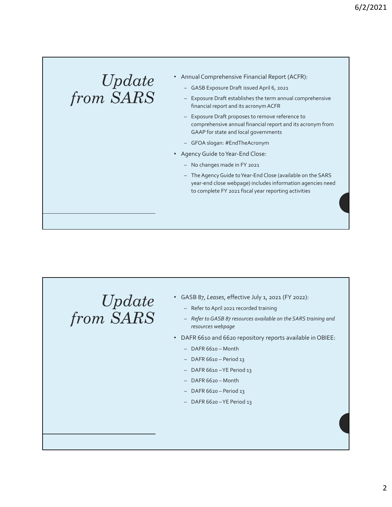## $Update \ \cdot$  Annual Comprehensive Financial Report (<br>- GASB Exposure Draft issued April 6, 2021

- Annual Comprehensive Financial Report (ACFR):
	-
- $from$   $SARS$   $-$  Exposure Draft establishes the term annual comprehensive financial report and its acronym ACFR
- 6/2/2021<br>
Annual Comprehensive Financial Report (ACFR):<br>
 GASB Exposure Draft issued April 6, 2021<br>
 Exposure Draft establishes the term annual comprehensive<br>
financial report and its acronym ACFR<br>
 Exposure Draft propo 6/2/2021<br>
Annual Comprehensive Financial Report (ACFR):<br>
- GASB Exposure Draft issued April 6, 2021<br>
- Exposure Draft establishes the term annual comprehensive<br>
financial report and its acronym ACFR<br>
- Exposure Draft propo 6/2/2021<br>
Hammual Comprehensive Financial Report (ACFR):<br>
- GASB Exposure Draft issued April 6, 2021<br>
- Exposure Draft establishes the term annual comprehensive<br>
financial report and its acronym ACFR<br>
- Exposure Draft prop comprehensive annual financial report and its acronym from GAAP for state and local governments 6/2/2021<br>
Hotel Comprehensive Financial Report (ACFR):<br>
- GASB Exposure Draft issued April 6, 2021<br>
- Exposure Draft establishes the term annual comprehensive<br>
financial report and its acronym ACFR<br>
- Exposure Draft propo
	-
	- Agency Guide to Year-End Close:
		-
- 6/2/2021<br>
1922 CASB Exposure Draft issued April 6, 2021<br>
1923 CASB Exposure Draft issued April 6, 2021<br>
1923 Exposure Draft establishes the term annual comprehensive<br>
financial report and its acronym ACFR<br>
1925 Exp munal Comprehensive Financial Report (ACFR):<br>
- GASB Exposure Draft issued April 6, 2021<br>
- Exposure Draft establishes the term annual comprehensive<br>
financial report and its acronym ACFR<br>
- Exposure Draft proposes to remo year-end close webpage) includes information agencies need to complete FY 2021 fiscal year reporting activities vency Guide to Year-End Close:<br>
- No changes made in FY 2021<br>
- The Agency Guide to Year-End Close (available on the SARS<br>
year-end close webpage) includes information agencies need<br>
to complete FY 2021 fiscal year reporti

Update from SARS

- GASB 87, Leases, effective July 1, 2021 (FY 2022):
	-
- Refer to GASB 87 resources available on the SARS training and resources webpage to complete FY 2021 fiscal year reporting activities<br>
SASB 87, Leases, effective July 1, 2021 (FY 2022):<br>
- Refer to April 2021 recorded training<br>
- Refer to GASB 87 resources available on the SARS training and<br>
resources FASB 87, Leases, effective July 1, 2021 (FY 2022):<br>
- Refer to April 2021 recorded training<br>
- Refer to GASB 87 resources available on the SARS training and<br>
resources webpage<br>
- PAFR 6610 and 6620 repository reports avail FASB 87, Leases, effective July 1, 2021 (FY 2022):<br>
- Refer to April 2021 recorded training<br>
- *Refer to GASB 87 resources available on the SARS training and<br>
resources webpage*<br>
PAFR 6610 and 6620 repository reports avail SASB 87, Leases, effective July 1, 2021 (FY 2022):<br>
- Refer to April 2021 recorded training<br>
- *Refer* to GASB 87 resources available on the SARS training and<br>
resources webpage<br>
ARFR 6610 and 6620 repository reports avail SASB 87, Leases, effective July 1, 2021 (FY 2022):<br>
- Refer to April 2021 recorded training<br>
- Refer to GASB 87 resources available on the SARS training and<br>
resources webpage<br>
ARR 6610 and 6620 repository reports availabl SASB 87, Leases, effective July 1, 2021 (FY 2022):<br>
- Refer to April 2021 recorded training<br>
- *Refer to CASB 87 resources available on the SARS training and*<br> *Period 6520 repository reports available in OBIEE:*<br>
- DAFR 6
- DAFR 6610 and 6620 repository reports available in OBIEE:
	-
	-
	-
	-
	-
	-